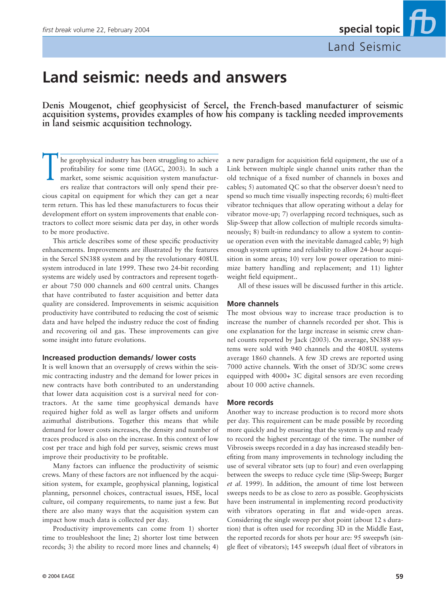# **Land seismic: needs and answers**

**Denis Mougenot, chief geophysicist of Sercel, the French-based manufacturer of seismic acquisition systems, provides examples of how his company is tackling needed improvements in land seismic acquisition technology.**

he geophysical industry has been struggling to achieve profitability for some time (IAGC, 2003). In such a market, some seismic acquisition system manufacturers realize that contractors will only spend their precious capital on equipment for which they can get a near term return. This has led these manufacturers to focus their development effort on system improvements that enable contractors to collect more seismic data per day, in other words to be more productive.  $\mathbf{I}$ 

This article describes some of these specific productivity enhancements. Improvements are illustrated by the features in the Sercel SN388 system and by the revolutionary 408UL system introduced in late 1999. These two 24-bit recording systems are widely used by contractors and represent together about 750 000 channels and 600 central units. Changes that have contributed to faster acquisition and better data quality are considered. Improvements in seismic acquisition productivity have contributed to reducing the cost of seismic data and have helped the industry reduce the cost of finding and recovering oil and gas. These improvements can give some insight into future evolutions.

# **Increased production demands/ lower costs**

It is well known that an oversupply of crews within the seismic contracting industry and the demand for lower prices in new contracts have both contributed to an understanding that lower data acquisition cost is a survival need for contractors. At the same time geophysical demands have required higher fold as well as larger offsets and uniform azimuthal distributions. Together this means that while demand for lower costs increases, the density and number of traces produced is also on the increase. In this context of low cost per trace and high fold per survey, seismic crews must improve their productivity to be profitable.

Many factors can influence the productivity of seismic crews. Many of these factors are not influenced by the acquisition system, for example, geophysical planning, logistical planning, personnel choices, contractual issues, HSE, local culture, oil company requirements, to name just a few. But there are also many ways that the acquisition system can impact how much data is collected per day.

Productivity improvements can come from 1) shorter time to troubleshoot the line; 2) shorter lost time between records; 3) the ability to record more lines and channels; 4)

a new paradigm for acquisition field equipment, the use of a Link between multiple single channel units rather than the old technique of a fixed number of channels in boxes and cables; 5) automated QC so that the observer doesn't need to spend so much time visually inspecting records; 6) multi-fleet vibrator techniques that allow operating without a delay for vibrator move-up; 7) overlapping record techniques, such as Slip-Sweep that allow collection of multiple records simultaneously; 8) built-in redundancy to allow a system to continue operation even with the inevitable damaged cable; 9) high enough system uptime and reliability to allow 24-hour acquisition in some areas; 10) very low power operation to minimize battery handling and replacement; and 11) lighter weight field equipment..

All of these issues will be discussed further in this article.

# **More channels**

The most obvious way to increase trace production is to increase the number of channels recorded per shot. This is one explanation for the large increase in seismic crew channel counts reported by Jack (2003). On average, SN388 systems were sold with 940 channels and the 408UL systems average 1860 channels. A few 3D crews are reported using 7000 active channels. With the onset of 3D/3C some crews equipped with 4000+ 3C digital sensors are even recording about 10 000 active channels.

# **More records**

Another way to increase production is to record more shots per day. This requirement can be made possible by recording more quickly and by ensuring that the system is up and ready to record the highest percentage of the time. The number of Vibroseis sweeps recorded in a day has increased steadily benefiting from many improvements in technology including the use of several vibrator sets (up to four) and even overlapping between the sweeps to reduce cycle time (Slip-Sweep; Burger *et al.* 1999). In addition, the amount of time lost between sweeps needs to be as close to zero as possible. Geophysicists have been instrumental in implementing record productivity with vibrators operating in flat and wide-open areas. Considering the single sweep per shot point (about 12 s duration) that is often used for recording 3D in the Middle East, the reported records for shots per hour are: 95 sweeps/h (single fleet of vibrators); 145 sweeps/h (dual fleet of vibrators in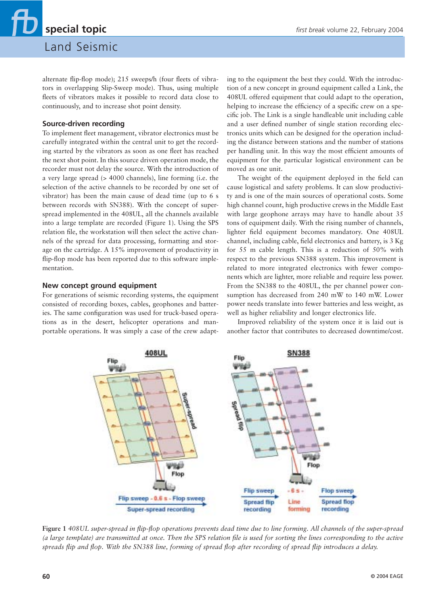alternate flip-flop mode); 215 sweeps/h (four fleets of vibrators in overlapping Slip-Sweep mode). Thus, using multiple fleets of vibrators makes it possible to record data close to continuously, and to increase shot point density.

# **Source-driven recording**

To implement fleet management, vibrator electronics must be carefully integrated within the central unit to get the recording started by the vibrators as soon as one fleet has reached the next shot point. In this source driven operation mode, the recorder must not delay the source. With the introduction of a very large spread (> 4000 channels), line forming (i.e. the selection of the active channels to be recorded by one set of vibrator) has been the main cause of dead time (up to 6 s between records with SN388). With the concept of superspread implemented in the 408UL, all the channels available into a large template are recorded (Figure 1). Using the SPS relation file, the workstation will then select the active channels of the spread for data processing, formatting and storage on the cartridge. A 15% improvement of productivity in flip-flop mode has been reported due to this software implementation.

# **New concept ground equipment**

For generations of seismic recording systems, the equipment consisted of recording boxes, cables, geophones and batteries. The same configuration was used for truck-based operations as in the desert, helicopter operations and manportable operations. It was simply a case of the crew adapting to the equipment the best they could. With the introduction of a new concept in ground equipment called a Link, the 408UL offered equipment that could adapt to the operation, helping to increase the efficiency of a specific crew on a specific job. The Link is a single handleable unit including cable and a user defined number of single station recording electronics units which can be designed for the operation including the distance between stations and the number of stations per handling unit. In this way the most efficient amounts of equipment for the particular logistical environment can be moved as one unit.

The weight of the equipment deployed in the field can cause logistical and safety problems. It can slow productivity and is one of the main sources of operational costs. Some high channel count, high productive crews in the Middle East with large geophone arrays may have to handle about 35 tons of equipment daily. With the rising number of channels, lighter field equipment becomes mandatory. One 408UL channel, including cable, field electronics and battery, is 3 Kg for 55 m cable length. This is a reduction of 50% with respect to the previous SN388 system. This improvement is related to more integrated electronics with fewer components which are lighter, more reliable and require less power. From the SN388 to the 408UL, the per channel power consumption has decreased from 240 mW to 140 mW. Lower power needs translate into fewer batteries and less weight, as well as higher reliability and longer electronics life.

Improved reliability of the system once it is laid out is another factor that contributes to decreased downtime/cost.



**Figure 1** *408UL super-spread in flip-flop operations prevents dead time due to line forming. All channels of the super-spread (a large template) are transmitted at once. Then the SPS relation file is used for sorting the lines corresponding to the active spreads flip and flop. With the SN388 line, forming of spread flop after recording of spread flip introduces a delay.*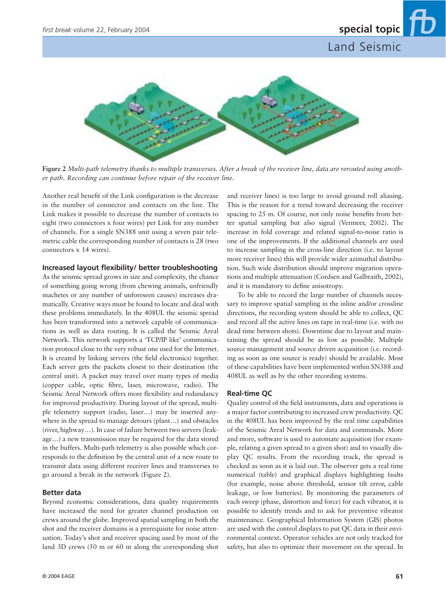

**Figure 2** *Multi-path telemetry thanks to multiple transverses. After a break of the receiver line, data are rerouted using another path. Recording can continue before repair of the receiver line.*

Another real benefit of the Link configuration is the decrease in the number of connector and contacts on the line. The Link makes it possible to decrease the number of contacts to eight (two connectors x four wires) per Link for any number of channels. For a single SN388 unit using a seven pair telemetric cable the corresponding number of contacts is 28 (two connectors x 14 wires).

# **Increased layout flexibility/ better troubleshooting**

As the seismic spread grows in size and complexity, the chance of something going wrong (from chewing animals, unfriendly machetes or any number of unforeseen causes) increases dramatically. Creative ways must be found to locate and deal with these problems immediately. In the 408UL the seismic spread has been transformed into a network capable of communications as well as data routing. It is called the Seismic Areal Network. This network supports a 'TCP/IP like' communication protocol close to the very robust one used for the Internet. It is created by linking servers (the field electronics) together. Each server gets the packets closest to their destination (the central unit). A packet may travel over many types of media (copper cable, optic fibre, laser, microwave, radio). The Seismic Areal Network offers more flexibility and redundancy for improved productivity. During layout of the spread, multiple telemetry support (radio, laser…) may be inserted anywhere in the spread to manage detours (plant…) and obstacles (river, highway…). In case of failure between two servers (leakage…) a new transmission may be required for the data stored in the buffers. Multi-path telemetry is also possible which corresponds to the definition by the central unit of a new route to transmit data using different receiver lines and transverses to go around a break in the network (Figure 2).

#### **Better data**

Beyond economic considerations, data quality requirements have increased the need for greater channel production on crews around the globe. Improved spatial sampling in both the shot and the receiver domains is a prerequisite for noise attenuation. Today's shot and receiver spacing used by most of the land 3D crews (50 m or 60 m along the corresponding shot

one of the improvements. If the additional channels are used to increase sampling in the cross-line direction (i.e. to layout more receiver lines) this will provide wider azimuthal distribution. Such wide distribution should improve migration operations and multiple attenuation (Cordsen and Galbraith, 2002), and it is mandatory to define anisotropy. To be able to record the large number of channels necessary to improve spatial sampling in the inline and/or crossline directions, the recording system should be able to collect, QC and record all the active lines on tape in real-time (i.e. with no dead time between shots). Downtime due to layout and main-

taining the spread should be as low as possible. Multiple source management and source driven acquisition (i.e. recording as soon as one source is ready) should be available. Most of these capabilities have been implemented within SN388 and 408UL as well as by the other recording systems.

and receiver lines) is too large to avoid ground roll aliasing. This is the reason for a trend toward decreasing the receiver spacing to 25 m. Of course, not only noise benefits from better spatial sampling but also signal (Vermeer, 2002). The increase in fold coverage and related signal-to-noise ratio is

#### **Real-time QC**

Quality control of the field instruments, data and operations is a major factor contributing to increased crew productivity. QC in the 408UL has been improved by the real time capabilities of the Seismic Areal Network for data and commands. More and more, software is used to automate acquisition (for example, relating a given spread to a given shot) and to visually display QC results. From the recording truck, the spread is checked as soon as it is laid out. The observer gets a real time numerical (table) and graphical displays highlighting faults (for example, noise above threshold, sensor tilt error, cable leakage, or low batteries). By monitoring the parameters of each sweep (phase, distortion and force) for each vibrator, it is possible to identify trends and to ask for preventive vibrator maintenance. Geographical Information System (GIS) photos are used with the control displays to put QC data in their environmental context. Operator vehicles are not only tracked for safety, but also to optimize their movement on the spread. In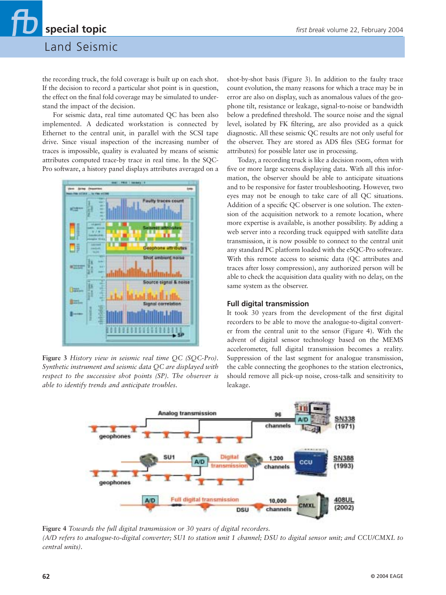the recording truck, the fold coverage is built up on each shot. If the decision to record a particular shot point is in question, the effect on the final fold coverage may be simulated to understand the impact of the decision.

For seismic data, real time automated QC has been also implemented. A dedicated workstation is connected by Ethernet to the central unit, in parallel with the SCSI tape drive. Since visual inspection of the increasing number of traces is impossible, quality is evaluated by means of seismic attributes computed trace-by trace in real time. In the SQC-Pro software, a history panel displays attributes averaged on a



**Figure 3** *History view in seismic real time QC (SQC-Pro). Synthetic instrument and seismic data QC are displayed with respect to the successive shot points (SP). The observer is able to identify trends and anticipate troubles.*

shot-by-shot basis (Figure 3). In addition to the faulty trace count evolution, the many reasons for which a trace may be in error are also on display, such as anomalous values of the geophone tilt, resistance or leakage, signal-to-noise or bandwidth below a predefined threshold. The source noise and the signal level, isolated by FK filtering, are also provided as a quick diagnostic. All these seismic QC results are not only useful for the observer. They are stored as ADS files (SEG format for attributes) for possible later use in processing.

Today, a recording truck is like a decision room, often with five or more large screens displaying data. With all this information, the observer should be able to anticipate situations and to be responsive for faster troubleshooting. However, two eyes may not be enough to take care of all QC situations. Addition of a specific QC observer is one solution. The extension of the acquisition network to a remote location, where more expertise is available, is another possibility. By adding a web server into a recording truck equipped with satellite data transmission, it is now possible to connect to the central unit any standard PC platform loaded with the eSQC-Pro software. With this remote access to seismic data (QC attributes and traces after lossy compression), any authorized person will be able to check the acquisition data quality with no delay, on the same system as the observer.

# **Full digital transmission**

It took 30 years from the development of the first digital recorders to be able to move the analogue-to-digital converter from the central unit to the sensor (Figure 4). With the advent of digital sensor technology based on the MEMS accelerometer, full digital transmission becomes a reality. Suppression of the last segment for analogue transmission, the cable connecting the geophones to the station electronics, should remove all pick-up noise, cross-talk and sensitivity to leakage.



**Figure 4** *Towards the full digital transmission or 30 years of digital recorders. (A/D refers to analogue-to-digital converter; SU1 to station unit 1 channel; DSU to digital sensor unit; and CCU/CMXL to central units).*